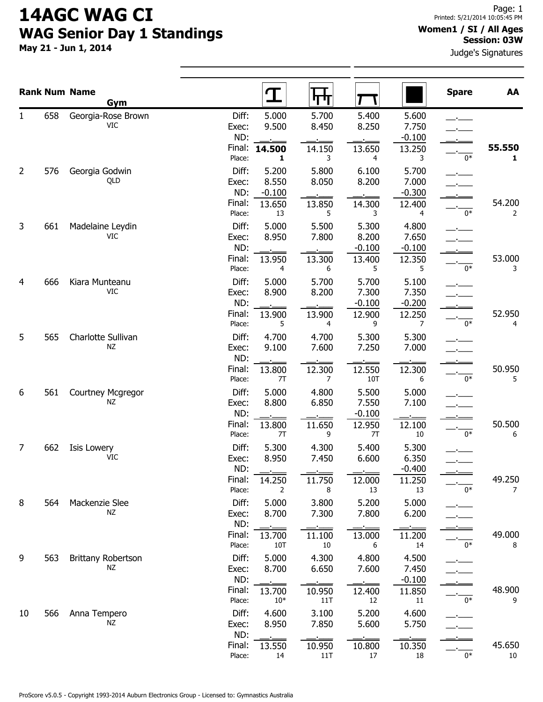# 14AGC WAG CI WAG Senior Day 1 Standings

May 21 - Jun 1, 2014

### Women1 / SI / All Ages Session: 03W

Judge's Signatures

|                |     | <b>Rank Num Name</b><br>Gym     |                                  | $\mathbf T$                     | पा                            |                                      |                                      | <b>Spare</b> | AA           |
|----------------|-----|---------------------------------|----------------------------------|---------------------------------|-------------------------------|--------------------------------------|--------------------------------------|--------------|--------------|
| 1              | 658 | Georgia-Rose Brown<br>VIC.      | Diff:<br>Exec:<br>ND:<br>Final:  | 5.000<br>9.500<br>14.500        | 5.700<br>8.450<br>14.150      | 5.400<br>8.250<br>13.650             | 5.600<br>7.750<br>$-0.100$<br>13.250 |              | 55.550       |
| $\overline{2}$ | 576 | Georgia Godwin<br>QLD           | Place:<br>Diff:<br>Exec:<br>ND:  | 1<br>5.200<br>8.550<br>$-0.100$ | 3<br>5.800<br>8.050           | 4<br>6.100<br>8.200                  | 3<br>5.700<br>7.000<br>$-0.300$      | 0*           | $\mathbf{1}$ |
|                |     |                                 | Final:<br>Place:                 | 13.650<br>13                    | 13.850<br>5                   | 14.300<br>3                          | 12.400<br>4                          | $0*$         | 54.200<br>2  |
| 3              | 661 | Madelaine Leydin<br>VIC         | Diff:<br>Exec:<br>ND:<br>Final:  | 5.000<br>8.950<br>13.950        | 5.500<br>7.800<br>13.300      | 5.300<br>8.200<br>$-0.100$<br>13.400 | 4.800<br>7.650<br>$-0.100$<br>12.350 |              | 53.000       |
| 4              | 666 | Kiara Munteanu<br>VIC           | Place:<br>Diff:<br>Exec:         | 4<br>5.000<br>8.900             | 6<br>5.700<br>8.200           | 5<br>5.700<br>7.300                  | 5.<br>5.100<br>7.350                 | $0*$         | 3            |
|                |     |                                 | ND:<br>Final:<br>Place:          | 13.900<br>5                     | 13.900<br>4                   | $-0.100$<br>12.900<br>9              | $-0.200$<br>12.250<br>7              | $0*$         | 52.950<br>4  |
| 5              | 565 | Charlotte Sullivan<br><b>NZ</b> | Diff:<br>Exec:<br>ND:<br>Final:  | 4.700<br>9.100<br>13.800        | 4.700<br>7.600<br>12.300      | 5.300<br>7.250<br>12.550             | 5.300<br>7.000<br>12.300             |              | 50.950       |
| 6              | 561 | Courtney Mcgregor<br>ΝZ         | Place:<br>Diff:<br>Exec:         | 7T<br>5.000<br>8.800            | 7<br>4.800<br>6.850           | 10T<br>5.500<br>7.550                | 6<br>5.000<br>7.100                  | $0*$         | 5            |
| 7              | 662 |                                 | ND:<br>Final:<br>Place:<br>Diff: | 13.800<br>7T<br>5.300           | 11.650<br>9<br>4.300          | $-0.100$<br>12.950<br>7T<br>5.400    | 12.100<br>10<br>5.300                | 0*           | 50.500<br>6  |
|                |     | Isis Lowery<br><b>VIC</b>       | Exec:<br>ND:<br>Final:           | 8.950                           | 7.450                         | 6.600                                | 6.350<br>$-0.400$                    |              | 49.250       |
| 8              | 564 | Mackenzie Slee<br>NZ            | Place:<br>Diff:<br>Exec:         | 14.250<br>2<br>5.000<br>8.700   | 11.750<br>8<br>3.800<br>7.300 | 12.000<br>13<br>5.200<br>7.800       | 11.250<br>13<br>5.000<br>6.200       | $0*$         | 7            |
|                |     |                                 | ND:<br>Final:<br>Place:          | 13.700<br>10T                   | 11.100<br>10                  | 13.000<br>6                          | 11.200<br>14                         | $0*$         | 49.000<br>8  |
| 9              | 563 | Brittany Robertson<br>NZ        | Diff:<br>Exec:<br>ND:<br>Final:  | 5.000<br>8.700<br>13.700        | 4.300<br>6.650<br>10.950      | 4.800<br>7.600<br>12.400             | 4.500<br>7.450<br>$-0.100$<br>11.850 |              | 48.900       |
| 10             | 566 | Anna Tempero<br>ΝZ              | Place:<br>Diff:<br>Exec:         | $10*$<br>4.600<br>8.950         | 11T<br>3.100<br>7.850         | 12<br>5.200<br>5.600                 | 11<br>4.600<br>5.750                 | $0*$         | 9            |
|                |     |                                 | ND:<br>Final:<br>Place:          | 13.550<br>14                    | 10.950<br>11T                 | 10.800<br>17                         | 10.350<br>18                         | $0*$         | 45.650<br>10 |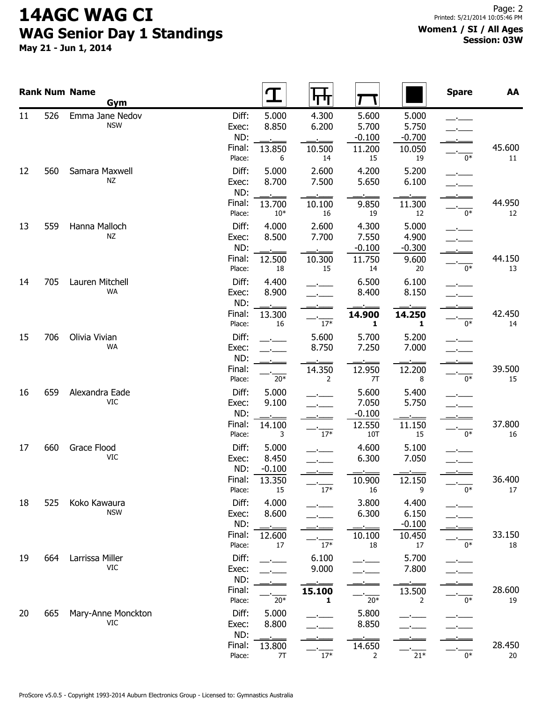# 14AGC WAG CI WAG Senior Day 1 Standings

May 21 - Jun 1, 2014

#### Women1 / SI / All Ages Session: 03W

|    |     | <b>Rank Num Name</b><br>Gym   |                                           |                                   | पण                             |                                             |                                            | <b>Spare</b> | AA           |
|----|-----|-------------------------------|-------------------------------------------|-----------------------------------|--------------------------------|---------------------------------------------|--------------------------------------------|--------------|--------------|
| 11 | 526 | Emma Jane Nedov<br><b>NSW</b> | Diff:<br>Exec:<br>ND:<br>Final:<br>Place: | 5.000<br>8.850<br>13.850<br>6     | 4.300<br>6.200<br>10.500<br>14 | 5.600<br>5.700<br>$-0.100$<br>11.200<br>15  | 5.000<br>5.750<br>$-0.700$<br>10.050<br>19 | $0*$         | 45.600<br>11 |
| 12 | 560 | Samara Maxwell<br><b>NZ</b>   | Diff:<br>Exec:<br>ND:<br>Final:           | 5.000<br>8.700<br>13.700          | 2.600<br>7.500<br>10.100       | 4.200<br>5.650<br>9.850                     | 5.200<br>6.100<br>11.300                   |              | 44.950       |
| 13 | 559 | Hanna Malloch<br><b>NZ</b>    | Place:<br>Diff:<br>Exec:<br>ND:<br>Final: | $10*$<br>4.000<br>8.500<br>12.500 | 16<br>2.600<br>7.700<br>10.300 | 19<br>4.300<br>7.550<br>$-0.100$<br>11.750  | 12<br>5.000<br>4.900<br>$-0.300$<br>9.600  | $0*$         | 12<br>44.150 |
| 14 | 705 | Lauren Mitchell<br>WA         | Place:<br>Diff:<br>Exec:<br>ND:           | 18<br>4.400<br>8.900              | 15                             | 14<br>6.500<br>8.400                        | 20<br>6.100<br>8.150                       | $0*$         | 13           |
| 15 | 706 | Olivia Vivian<br><b>WA</b>    | Final:<br>Place:<br>Diff:<br>Exec:<br>ND: | 13.300<br>16                      | $17*$<br>5.600<br>8.750        | 14.900<br>1<br>5.700<br>7.250               | 14.250<br>1<br>5.200<br>7.000              | $0*$         | 42.450<br>14 |
| 16 | 659 | Alexandra Eade<br><b>VIC</b>  | Final:<br>Place:<br>Diff:<br>Exec:        | $20*$<br>5.000<br>9.100           | 14.350<br>$\overline{2}$       | 12.950<br>7T<br>5.600<br>7.050              | 12.200<br>8<br>5.400<br>5.750              | $0*$         | 39.500<br>15 |
| 17 | 660 | Grace Flood<br><b>VIC</b>     | ND:<br>Final:<br>Place:<br>Diff:<br>Exec: | 14.100<br>3<br>5.000<br>8.450     | $17*$                          | $-0.100$<br>12.550<br>10T<br>4.600<br>6.300 | 11.150<br>15<br>5.100<br>7.050             | $0*$         | 37.800<br>16 |
| 18 | 525 | Koko Kawaura                  | ND:<br>Final:<br>Place:<br>Diff:          | $-0.100$<br>13.350<br>15<br>4.000 | $17*$                          | 10.900<br>16<br>3.800                       | 12.150<br>9<br>4.400                       | $0*$         | 36.400<br>17 |
|    |     | <b>NSW</b>                    | Exec:<br>ND:<br>Final:<br>Place:          | 8.600<br>12.600<br>17             | $17*$                          | 6.300<br>10.100<br>18                       | 6.150<br>$-0.100$<br>10.450<br>17          | $0*$         | 33.150<br>18 |
| 19 | 664 | Larrissa Miller<br>VIC        | Diff:<br>Exec:<br>ND:<br>Final:           |                                   | 6.100<br>9.000<br>15.100       |                                             | 5.700<br>7.800<br>13.500                   |              | 28.600       |
| 20 | 665 | Mary-Anne Monckton<br>VIC     | Place:<br>Diff:<br>Exec:<br>ND:           | $20*$<br>5.000<br>8.800           | 1                              | $20*$<br>5.800<br>8.850                     | 2                                          | $0*$         | 19           |
|    |     |                               | Final:<br>Place:                          | 13.800<br>7T                      | $17^{\ast}$                    | 14.650<br>2                                 | $\overline{21*}$                           | $0*$         | 28.450<br>20 |